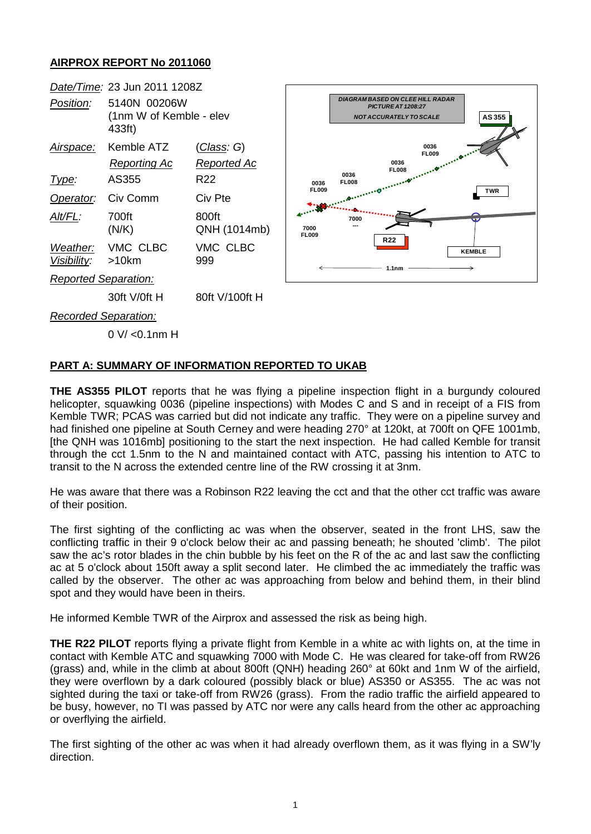## **AIRPROX REPORT No 2011060**



0 V/ <0.1nm H

## **PART A: SUMMARY OF INFORMATION REPORTED TO UKAB**

**THE AS355 PILOT** reports that he was flying a pipeline inspection flight in a burgundy coloured helicopter, squawking 0036 (pipeline inspections) with Modes C and S and in receipt of a FIS from Kemble TWR; PCAS was carried but did not indicate any traffic. They were on a pipeline survey and had finished one pipeline at South Cerney and were heading 270° at 120kt, at 700ft on QFE 1001mb, [the QNH was 1016mb] positioning to the start the next inspection. He had called Kemble for transit through the cct 1.5nm to the N and maintained contact with ATC, passing his intention to ATC to transit to the N across the extended centre line of the RW crossing it at 3nm.

He was aware that there was a Robinson R22 leaving the cct and that the other cct traffic was aware of their position.

The first sighting of the conflicting ac was when the observer, seated in the front LHS, saw the conflicting traffic in their 9 o'clock below their ac and passing beneath; he shouted 'climb'. The pilot saw the ac's rotor blades in the chin bubble by his feet on the R of the ac and last saw the conflicting ac at 5 o'clock about 150ft away a split second later. He climbed the ac immediately the traffic was called by the observer. The other ac was approaching from below and behind them, in their blind spot and they would have been in theirs.

He informed Kemble TWR of the Airprox and assessed the risk as being high.

**THE R22 PILOT** reports flying a private flight from Kemble in a white ac with lights on, at the time in contact with Kemble ATC and squawking 7000 with Mode C. He was cleared for take-off from RW26 (grass) and, while in the climb at about 800ft (QNH) heading 260° at 60kt and 1nm W of the airfield, they were overflown by a dark coloured (possibly black or blue) AS350 or AS355. The ac was not sighted during the taxi or take-off from RW26 (grass). From the radio traffic the airfield appeared to be busy, however, no TI was passed by ATC nor were any calls heard from the other ac approaching or overflying the airfield.

The first sighting of the other ac was when it had already overflown them, as it was flying in a SW'ly direction.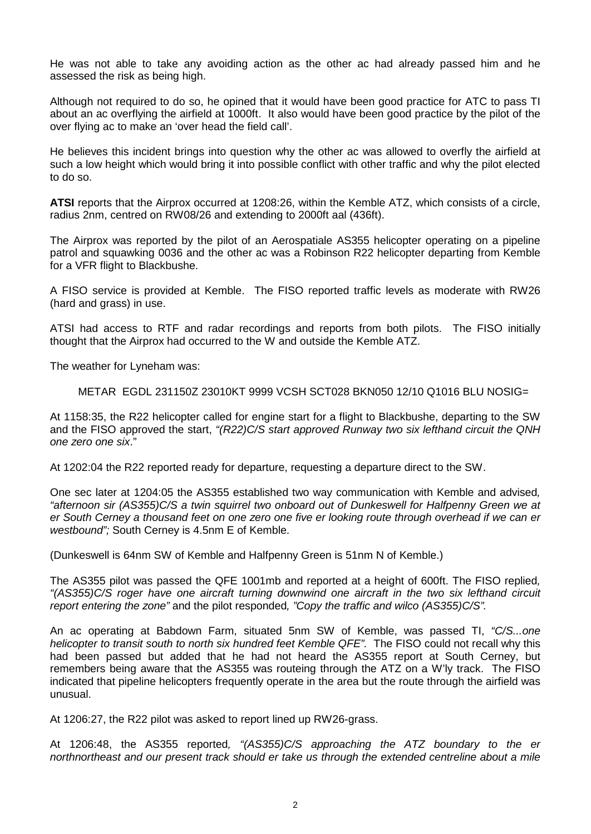He was not able to take any avoiding action as the other ac had already passed him and he assessed the risk as being high.

Although not required to do so, he opined that it would have been good practice for ATC to pass TI about an ac overflying the airfield at 1000ft. It also would have been good practice by the pilot of the over flying ac to make an 'over head the field call'.

He believes this incident brings into question why the other ac was allowed to overfly the airfield at such a low height which would bring it into possible conflict with other traffic and why the pilot elected to do so.

**ATSI** reports that the Airprox occurred at 1208:26, within the Kemble ATZ, which consists of a circle, radius 2nm, centred on RW08/26 and extending to 2000ft aal (436ft).

The Airprox was reported by the pilot of an Aerospatiale AS355 helicopter operating on a pipeline patrol and squawking 0036 and the other ac was a Robinson R22 helicopter departing from Kemble for a VFR flight to Blackbushe.

A FISO service is provided at Kemble. The FISO reported traffic levels as moderate with RW26 (hard and grass) in use.

ATSI had access to RTF and radar recordings and reports from both pilots. The FISO initially thought that the Airprox had occurred to the W and outside the Kemble ATZ.

The weather for Lyneham was:

METAR EGDL 231150Z 23010KT 9999 VCSH SCT028 BKN050 12/10 Q1016 BLU NOSIG=

At 1158:35, the R22 helicopter called for engine start for a flight to Blackbushe, departing to the SW and the FISO approved the start, *"(R22)C/S start approved Runway two six lefthand circuit the QNH one zero one six*."

At 1202:04 the R22 reported ready for departure, requesting a departure direct to the SW.

One sec later at 1204:05 the AS355 established two way communication with Kemble and advised*, "afternoon sir (AS355)C/S a twin squirrel two onboard out of Dunkeswell for Halfpenny Green we at er South Cerney a thousand feet on one zero one five er looking route through overhead if we can er westbound";* South Cerney is 4.5nm E of Kemble.

(Dunkeswell is 64nm SW of Kemble and Halfpenny Green is 51nm N of Kemble.)

The AS355 pilot was passed the QFE 1001mb and reported at a height of 600ft. The FISO replied*, "(AS355)C/S roger have one aircraft turning downwind one aircraft in the two six lefthand circuit report entering the zone"* and the pilot responded*, "Copy the traffic and wilco (AS355)C/S".*

An ac operating at Babdown Farm, situated 5nm SW of Kemble, was passed TI, *"C/S...one helicopter to transit south to north six hundred feet Kemble QFE".* The FISO could not recall why this had been passed but added that he had not heard the AS355 report at South Cerney, but remembers being aware that the AS355 was routeing through the ATZ on a W'ly track. The FISO indicated that pipeline helicopters frequently operate in the area but the route through the airfield was unusual.

At 1206:27, the R22 pilot was asked to report lined up RW26-grass.

At 1206:48, the AS355 reported*, "(AS355)C/S approaching the ATZ boundary to the er northnortheast and our present track should er take us through the extended centreline about a mile*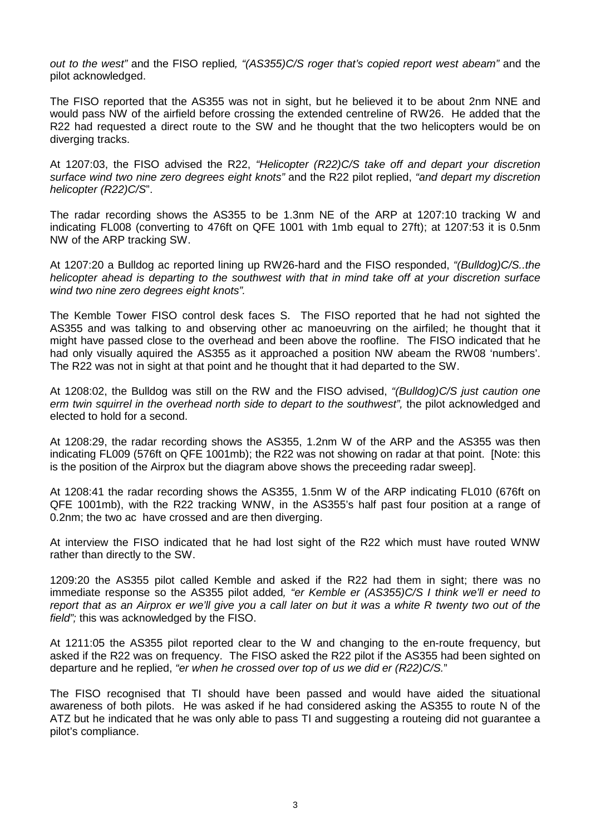*out to the west"* and the FISO replied*, "(AS355)C/S roger that's copied report west abeam"* and the pilot acknowledged.

The FISO reported that the AS355 was not in sight, but he believed it to be about 2nm NNE and would pass NW of the airfield before crossing the extended centreline of RW26. He added that the R22 had requested a direct route to the SW and he thought that the two helicopters would be on diverging tracks.

At 1207:03, the FISO advised the R22, *"Helicopter (R22)C/S take off and depart your discretion surface wind two nine zero degrees eight knots"* and the R22 pilot replied, *"and depart my discretion helicopter (R22)C/S*".

The radar recording shows the AS355 to be 1.3nm NE of the ARP at 1207:10 tracking W and indicating FL008 (converting to 476ft on QFE 1001 with 1mb equal to 27ft); at 1207:53 it is 0.5nm NW of the ARP tracking SW.

At 1207:20 a Bulldog ac reported lining up RW26-hard and the FISO responded, *"(Bulldog)C/S..the helicopter ahead is departing to the southwest with that in mind take off at your discretion surface wind two nine zero degrees eight knots".*

The Kemble Tower FISO control desk faces S. The FISO reported that he had not sighted the AS355 and was talking to and observing other ac manoeuvring on the airfiled; he thought that it might have passed close to the overhead and been above the roofline. The FISO indicated that he had only visually aquired the AS355 as it approached a position NW abeam the RW08 'numbers'. The R22 was not in sight at that point and he thought that it had departed to the SW.

At 1208:02, the Bulldog was still on the RW and the FISO advised, *"(Bulldog)C/S just caution one erm twin squirrel in the overhead north side to depart to the southwest",* the pilot acknowledged and elected to hold for a second.

At 1208:29, the radar recording shows the AS355, 1.2nm W of the ARP and the AS355 was then indicating FL009 (576ft on QFE 1001mb); the R22 was not showing on radar at that point. [Note: this is the position of the Airprox but the diagram above shows the preceeding radar sweep].

At 1208:41 the radar recording shows the AS355, 1.5nm W of the ARP indicating FL010 (676ft on QFE 1001mb), with the R22 tracking WNW, in the AS355's half past four position at a range of 0.2nm; the two ac have crossed and are then diverging.

At interview the FISO indicated that he had lost sight of the R22 which must have routed WNW rather than directly to the SW.

1209:20 the AS355 pilot called Kemble and asked if the R22 had them in sight; there was no immediate response so the AS355 pilot added*, "er Kemble er (AS355)C/S I think we'll er need to report that as an Airprox er we'll give you a call later on but it was a white R twenty two out of the field";* this was acknowledged by the FISO.

At 1211:05 the AS355 pilot reported clear to the W and changing to the en-route frequency, but asked if the R22 was on frequency. The FISO asked the R22 pilot if the AS355 had been sighted on departure and he replied, *"er when he crossed over top of us we did er (R22)C/S.*"

The FISO recognised that TI should have been passed and would have aided the situational awareness of both pilots. He was asked if he had considered asking the AS355 to route N of the ATZ but he indicated that he was only able to pass TI and suggesting a routeing did not guarantee a pilot's compliance.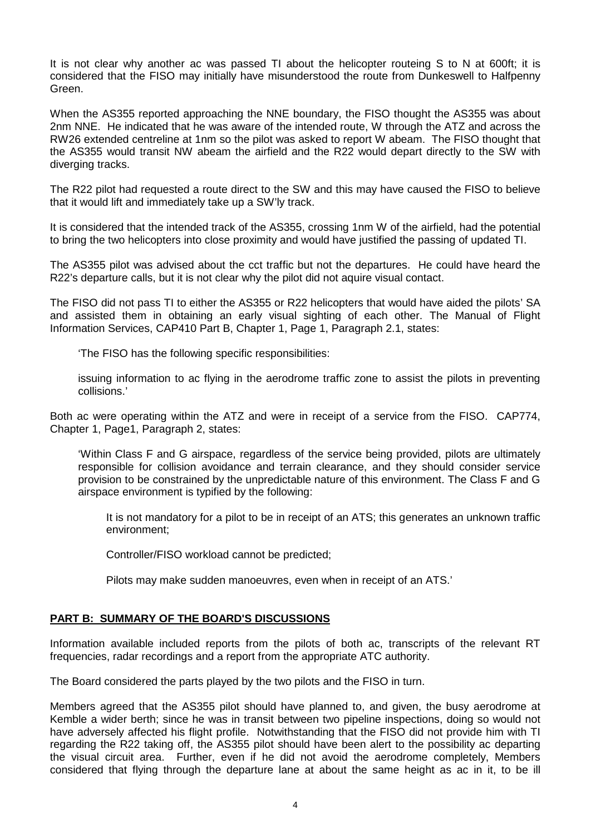It is not clear why another ac was passed TI about the helicopter routeing S to N at 600ft; it is considered that the FISO may initially have misunderstood the route from Dunkeswell to Halfpenny Green.

When the AS355 reported approaching the NNE boundary, the FISO thought the AS355 was about 2nm NNE. He indicated that he was aware of the intended route, W through the ATZ and across the RW26 extended centreline at 1nm so the pilot was asked to report W abeam. The FISO thought that the AS355 would transit NW abeam the airfield and the R22 would depart directly to the SW with diverging tracks.

The R22 pilot had requested a route direct to the SW and this may have caused the FISO to believe that it would lift and immediately take up a SW'ly track.

It is considered that the intended track of the AS355, crossing 1nm W of the airfield, had the potential to bring the two helicopters into close proximity and would have justified the passing of updated TI.

The AS355 pilot was advised about the cct traffic but not the departures. He could have heard the R22's departure calls, but it is not clear why the pilot did not aquire visual contact.

The FISO did not pass TI to either the AS355 or R22 helicopters that would have aided the pilots' SA and assisted them in obtaining an early visual sighting of each other. The Manual of Flight Information Services, CAP410 Part B, Chapter 1, Page 1, Paragraph 2.1, states:

'The FISO has the following specific responsibilities:

issuing information to ac flying in the aerodrome traffic zone to assist the pilots in preventing collisions.'

Both ac were operating within the ATZ and were in receipt of a service from the FISO. CAP774, Chapter 1, Page1, Paragraph 2, states:

'Within Class F and G airspace, regardless of the service being provided, pilots are ultimately responsible for collision avoidance and terrain clearance, and they should consider service provision to be constrained by the unpredictable nature of this environment. The Class F and G airspace environment is typified by the following:

It is not mandatory for a pilot to be in receipt of an ATS; this generates an unknown traffic environment;

Controller/FISO workload cannot be predicted;

Pilots may make sudden manoeuvres, even when in receipt of an ATS.'

## **PART B: SUMMARY OF THE BOARD'S DISCUSSIONS**

Information available included reports from the pilots of both ac, transcripts of the relevant RT frequencies, radar recordings and a report from the appropriate ATC authority.

The Board considered the parts played by the two pilots and the FISO in turn.

Members agreed that the AS355 pilot should have planned to, and given, the busy aerodrome at Kemble a wider berth; since he was in transit between two pipeline inspections, doing so would not have adversely affected his flight profile. Notwithstanding that the FISO did not provide him with TI regarding the R22 taking off, the AS355 pilot should have been alert to the possibility ac departing the visual circuit area. Further, even if he did not avoid the aerodrome completely, Members considered that flying through the departure lane at about the same height as ac in it, to be ill